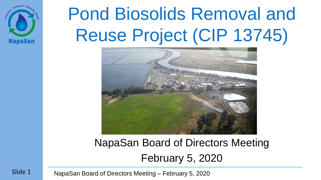

# Pond Biosolids Removal and Reuse Project (CIP 13745)



### NapaSan Board of Directors Meeting February 5, 2020

NapaSan Board of Directors Meeting – February 5, 2020

Slide 1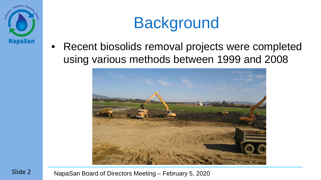

## **Background**

Recent biosolids removal projects were completed using various methods between 1999 and 2008

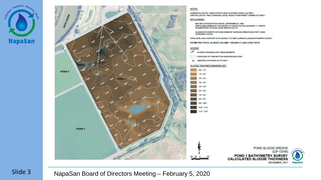



(CIP 13745)

DECEMBER, 2017

**NapaSan**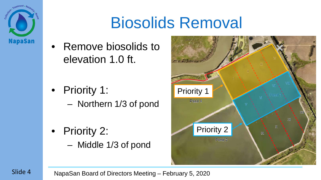

### Biosolids Removal

• Remove biosolids to elevation 1.0 ft.

- Priority 1:
	- Northern 1/3 of pond
- Priority 2:
	- Middle 1/3 of pond

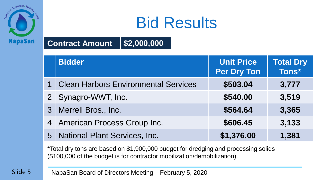

### Bid Results

#### **Contract Amount \$2,000,000**

| <b>Bidder</b>                          | <b>Unit Price</b><br><b>Per Dry Ton</b> | <b>Total Dry</b><br>Tons* |
|----------------------------------------|-----------------------------------------|---------------------------|
| 1 Clean Harbors Environmental Services | \$503.04                                | 3,777                     |
| 2 Synagro-WWT, Inc.                    | \$540.00                                | 3,519                     |
| 3 Merrell Bros., Inc.                  | \$564.64                                | 3,365                     |
| 4 American Process Group Inc.          | \$606.45                                | 3,133                     |
| 5 National Plant Services, Inc.        | \$1,376.00                              | 1,381                     |

\*Total dry tons are based on \$1,900,000 budget for dredging and processing solids (\$100,000 of the budget is for contractor mobilization/demobilization).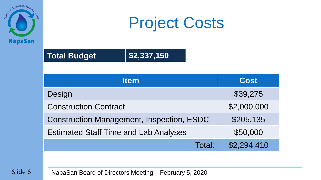

### Project Costs

#### **Total Budget \$2,337,150**

| <b>Item</b>                                      | <b>Cost</b> |
|--------------------------------------------------|-------------|
| Design                                           | \$39,275    |
| <b>Construction Contract</b>                     | \$2,000,000 |
| <b>Construction Management, Inspection, ESDC</b> | \$205,135   |
| <b>Estimated Staff Time and Lab Analyses</b>     | \$50,000    |
| Total:                                           | \$2,294,410 |

Slide 6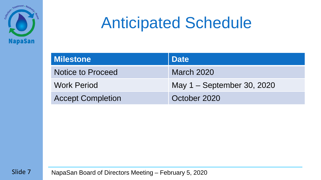

### Anticipated Schedule

| <b>Milestone</b>         | <b>Date</b>                |
|--------------------------|----------------------------|
| <b>Notice to Proceed</b> | <b>March 2020</b>          |
| <b>Work Period</b>       | May 1 – September 30, 2020 |
| <b>Accept Completion</b> | October 2020               |